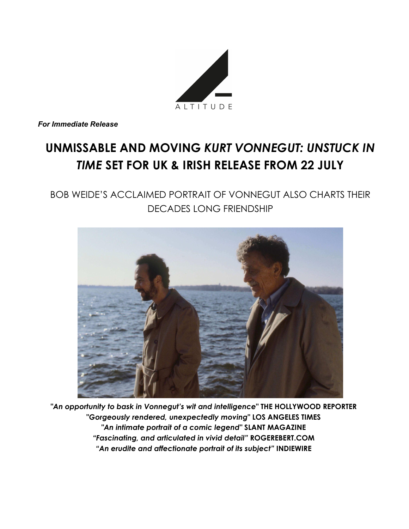

*For Immediate Release*

# **UNMISSABLE AND MOVING** *KURT VONNEGUT: UNSTUCK IN TIME* **SET FOR UK & IRISH RELEASE FROM 22 JULY**

BOB WEIDE'S ACCLAIMED PORTRAIT OF VONNEGUT ALSO CHARTS THEIR DECADES LONG FRIENDSHIP



*"An opportunity to bask in Vonnegut's wit and intelligence***" THE HOLLYWOOD REPORTER "***Gorgeously rendered, unexpectedly moving***" LOS ANGELES TIMES** *"An intimate portrait of a comic legend"* **SLANT MAGAZINE** *"Fascinating, and articulated in vivid detail"* **ROGEREBERT.COM** *"An erudite and affectionate portrait of its subject"* **INDIEWIRE**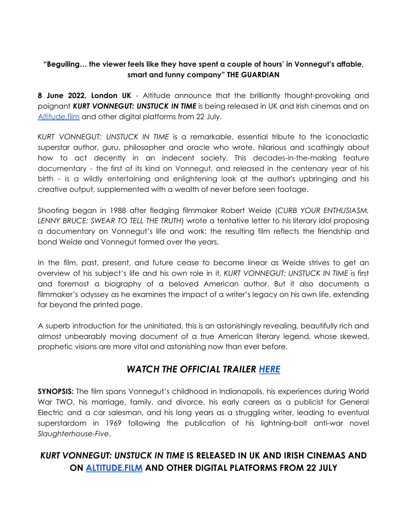### **"Beguiling… the viewer feels like they have spent a couple of hours' in Vonnegut's affable, smart and funny company" THE GUARDIAN**

**8 June 2022, London UK** - Altitude announce that the brilliantly thought-provoking and poignant *KURT VONNEGUT: UNSTUCK IN TIME* is being released in UK and Irish cinemas and on [Altitude.film](http://www.altitude.film) and other digital platforms from 22 July.

*KURT VONNEGUT: UNSTUCK IN TIME* is a remarkable, essential tribute to the iconoclastic superstar author, guru, philosopher and oracle who wrote, hilarious and scathingly about how to act decently in an indecent society. This decades-in-the-making feature documentary - the first of its kind on Vonnegut, and released in the centenary year of his birth - is a wildly entertaining and enlightening look at the author's upbringing and his creative output, supplemented with a wealth of never before seen footage.

Shooting began in 1988 after fledging filmmaker Robert Weide (*CURB YOUR ENTHUSIASM, LENNY BRUCE: SWEAR TO TELL THE TRUTH*) wrote a tentative letter to his literary idol proposing a documentary on Vonnegut's life and work: the resulting film reflects the friendship and bond Weide and Vonnegut formed over the years.

In the film, past, present, and future cease to become linear as Weide strives to get an overview of his subject's life and his own role in it. *KURT VONNEGUT: UNSTUCK IN TIME* is first and foremost a biography of a beloved American author. But it also documents a filmmaker's odyssey as he examines the impact of a writer's legacy on his own life, extending far beyond the printed page.

A superb introduction for the uninitiated, this is an astonishingly revealing, beautifully rich and almost unbearably moving document of a true American literary legend, whose skewed, prophetic visions are more vital and astonishing now than ever before.

### *WATCH THE OFFICIAL TRAILER [HERE](https://youtu.be/j6_7HG2ey8k)*

**SYNOPSIS:** The film spans Vonnegut's childhood in Indianapolis, his experiences during World War TWO, his marriage, family, and divorce, his early careers as a publicist for General Electric and a car salesman, and his long years as a struggling writer, leading to eventual superstardom in 1969 following the publication of his lightning-bolt anti-war novel *Slaughterhouse-Five*.

## *KURT VONNEGUT: UNSTUCK IN TIME* **IS RELEASED IN UK AND IRISH CINEMAS AND ON [ALTITUDE.FILM](http://www.altitude.film) AND OTHER DIGITAL PLATFORMS FROM 22 JULY**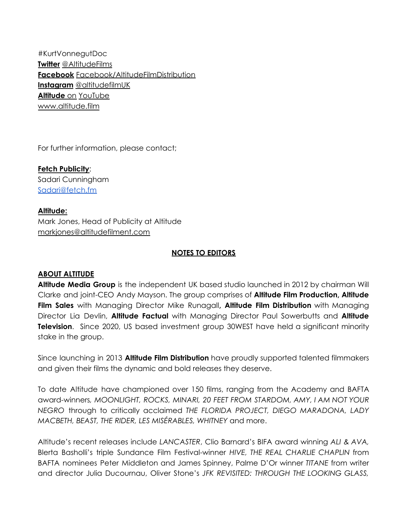#KurtVonnegutDoc **Twitter** [@AltitudeFilms](http://email.fetch.fm/c/eJxNzUsKwyAURuHVxKH4q1UycJAH2YfRGxQMLfGGbr8ZFs7kG50cjt2IGrTCqLwBDLyFhFxXzMvm52WxExzcYNVBnIo8TlHC6EibrHYyyJTii_aYE7T1DnBOR9FCYf70wUyD3p74W5npkul9PpoaV74zbbWdXVyhxxyv-rf4AUEjLPc) **Facebook** [Facebook/AltitudeFilmDistribution](http://email.fetch.fm/c/eJxNzTkOgzAQQNHT4NKasY0dChcs4h5esBgF4ggGcf1QRvrVa372JWpBXgF24DSiRmdQopwmHMbZDeNoerRoGwNl4bTKsovVW8DsIoKNLbYp6wIqRQUvjZ3pElix-ZX5eza6b9T8dN-3LCEtsda3THV_KGxMfOWl0LZnOvmgeDHVjzj8GXI46G_5A_7fMqw) **Instagram** [@altitudefilmUK](http://email.fetch.fm/c/eJxNjUEOgyAUBU8DS8IXhLpgoRjvAX4ppNI2gPH6ZdlkVjN5eWiCFzSZgcPEtQAQoCUwYOsKi930Yq2cQYEikoej7ZGFTKNRu8IwSoHo8Ahi0kdQvT80jIDce3qa2Nq3EjGTYevc983Suzb3LC6z_ZO7c2dL7er7dObr1QUtpjp0Jf2d_QBGvjED) **Altitude** on [YouTube](http://email.fetch.fm/c/eJxNjrsOgjAYRp8GNht-eoOhA5ewaIyGMDiW0gYUKIEi-vZ2NPmGk3OWrxOmxeEg4gjSiGMADJwAAlSWkBcVz4uCZMCABSQy2qkemSnshSHATZRwpqlMmWqZkVQRLYnBNEloGo6id27ZApwFceV3HAf62t3trUbKTt6oXs6zHj01xfnyaGsb59dav5oqfS7T53a6-_QeOm23cBWb7OQ6_J34AcGWN6k) [www.altitude.film](http://www.altitude.film)

For further information, please contact;

**Fetch [Publicity](https://fetch.fm/altitude-film-entertainment/altitude-film-entertainment-little-monsters/)**: Sadari Cunningham [Sadari@fetch.fm](mailto:Sadari@fetch.fm)

**Altitude:** Mark Jones, Head of Publicity at Altitude [markjones@altitudefilment.com](mailto:markjones@altitudefilment.com)

#### **NOTES TO EDITORS**

#### **ABOUT ALTITUDE**

**Altitude Media Group** is the independent UK based studio launched in 2012 by chairman Will Clarke and joint-CEO Andy Mayson. The group comprises of **Altitude Film Production, Altitude Film Sales** with Managing Director Mike Runagall**, Altitude Film Distribution** with Managing Director Lia Devlin, **Altitude Factual** with Managing Director Paul Sowerbutts and **Altitude Television**. Since 2020, US based investment group 30WEST have held a significant minority stake in the group.

Since launching in 2013 **Altitude Film Distribution** have proudly supported talented filmmakers and given their films the dynamic and bold releases they deserve.

To date Altitude have championed over 150 films, ranging from the Academy and BAFTA award-winners*, MOONLIGHT, ROCKS, MINARI, 20 FEET FROM STARDOM, AMY, I AM NOT YOUR NEGRO* through to critically acclaimed *THE FLORIDA PROJECT, DIEGO MARADONA, LADY MACBETH, BEAST, THE RIDER, LES MISÉRABLES, WHITNEY* and more.

Altitude's recent releases include *LANCASTER*, Clio Barnard's BIFA award winning *ALI & AVA,* Blerta Basholli's triple Sundance Film Festival-winner *HIVE, THE REAL CHARLIE CHAPLIN* from BAFTA nominees Peter Middleton and James Spinney, Palme D'Or winner *TITANE* from writer and director Julia Ducournau, Oliver Stone's *JFK REVISITED: THROUGH THE LOOKING GLASS,*